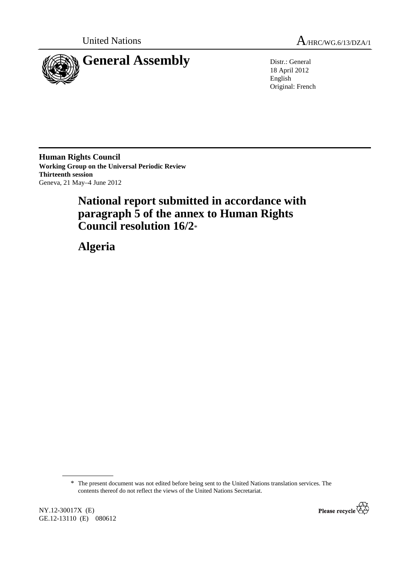



18 April 2012 English Original: French

**Human Rights Council Working Group on the Universal Periodic Review Thirteenth session**  Geneva, 21 May–4 June 2012

# **National report submitted in accordance with paragraph 5 of the annex to Human Rights Council resolution 16/2**\*

 **Algeria** 

\* The present document was not edited before being sent to the United Nations translation services. The contents thereof do not reflect the views of the United Nations Secretariat.

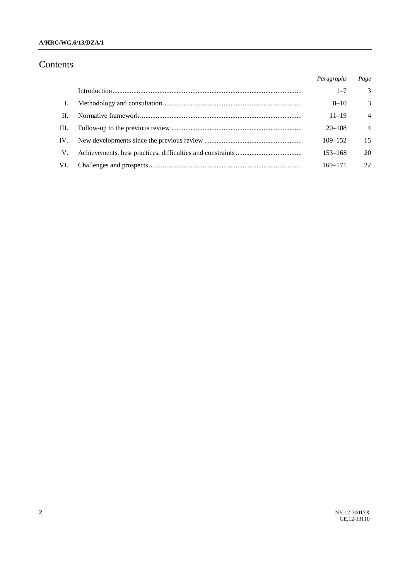## Contents

|      | Paragraphs  | Page           |
|------|-------------|----------------|
|      | $1 - 7$     | $\mathcal{F}$  |
|      | $8 - 10$    | 3              |
| П.   | $11 - 19$   | $\overline{4}$ |
| III. | $20 - 108$  | $\overline{4}$ |
| IV.  | $109 - 152$ | 15             |
| V.   | $153 - 168$ | 20             |
| VI.  | 169-171     | 22             |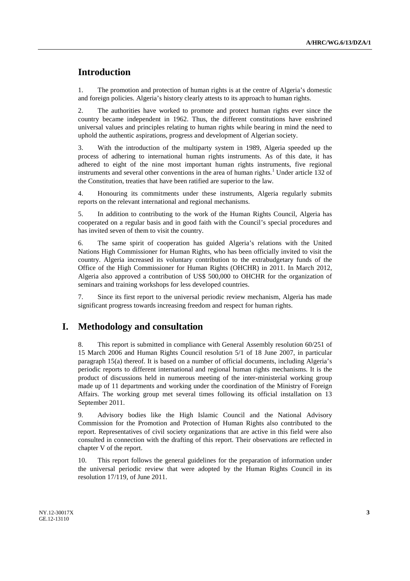## **Introduction**

1. The promotion and protection of human rights is at the centre of Algeria's domestic and foreign policies. Algeria's history clearly attests to its approach to human rights.

2. The authorities have worked to promote and protect human rights ever since the country became independent in 1962. Thus, the different constitutions have enshrined universal values and principles relating to human rights while bearing in mind the need to uphold the authentic aspirations, progress and development of Algerian society.

3. With the introduction of the multiparty system in 1989, Algeria speeded up the process of adhering to international human rights instruments. As of this date, it has adhered to eight of the nine most important human rights instruments, five regional instruments and several other conventions in the area of human rights.<sup>1</sup> Under article 132 of the Constitution, treaties that have been ratified are superior to the law.

4. Honouring its commitments under these instruments, Algeria regularly submits reports on the relevant international and regional mechanisms.

5. In addition to contributing to the work of the Human Rights Council, Algeria has cooperated on a regular basis and in good faith with the Council's special procedures and has invited seven of them to visit the country.

6. The same spirit of cooperation has guided Algeria's relations with the United Nations High Commissioner for Human Rights, who has been officially invited to visit the country. Algeria increased its voluntary contribution to the extrabudgetary funds of the Office of the High Commissioner for Human Rights (OHCHR) in 2011. In March 2012, Algeria also approved a contribution of US\$ 500,000 to OHCHR for the organization of seminars and training workshops for less developed countries.

7. Since its first report to the universal periodic review mechanism, Algeria has made significant progress towards increasing freedom and respect for human rights.

## **I. Methodology and consultation**

8. This report is submitted in compliance with General Assembly resolution 60/251 of 15 March 2006 and Human Rights Council resolution 5/1 of 18 June 2007, in particular paragraph 15(a) thereof. It is based on a number of official documents, including Algeria's periodic reports to different international and regional human rights mechanisms. It is the product of discussions held in numerous meeting of the inter-ministerial working group made up of 11 departments and working under the coordination of the Ministry of Foreign Affairs. The working group met several times following its official installation on 13 September 2011.

9. Advisory bodies like the High Islamic Council and the National Advisory Commission for the Promotion and Protection of Human Rights also contributed to the report. Representatives of civil society organizations that are active in this field were also consulted in connection with the drafting of this report. Their observations are reflected in chapter V of the report.

10. This report follows the general guidelines for the preparation of information under the universal periodic review that were adopted by the Human Rights Council in its resolution 17/119, of June 2011.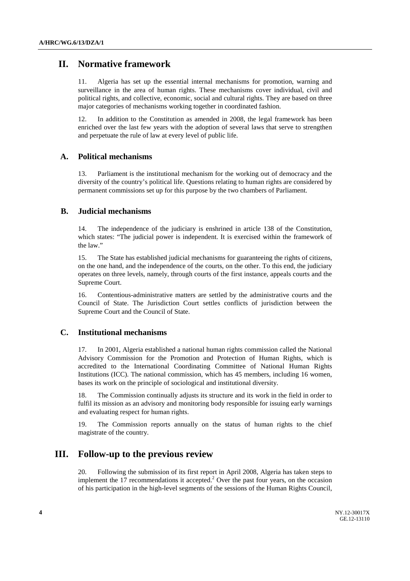## **II. Normative framework**

11. Algeria has set up the essential internal mechanisms for promotion, warning and surveillance in the area of human rights. These mechanisms cover individual, civil and political rights, and collective, economic, social and cultural rights. They are based on three major categories of mechanisms working together in coordinated fashion.

12. In addition to the Constitution as amended in 2008, the legal framework has been enriched over the last few years with the adoption of several laws that serve to strengthen and perpetuate the rule of law at every level of public life.

## **A. Political mechanisms**

13. Parliament is the institutional mechanism for the working out of democracy and the diversity of the country's political life. Questions relating to human rights are considered by permanent commissions set up for this purpose by the two chambers of Parliament.

### **B. Judicial mechanisms**

14. The independence of the judiciary is enshrined in article 138 of the Constitution, which states: "The judicial power is independent. It is exercised within the framework of the law."

15. The State has established judicial mechanisms for guaranteeing the rights of citizens, on the one hand, and the independence of the courts, on the other. To this end, the judiciary operates on three levels, namely, through courts of the first instance, appeals courts and the Supreme Court.

16. Contentious-administrative matters are settled by the administrative courts and the Council of State. The Jurisdiction Court settles conflicts of jurisdiction between the Supreme Court and the Council of State.

### **C. Institutional mechanisms**

17. In 2001, Algeria established a national human rights commission called the National Advisory Commission for the Promotion and Protection of Human Rights, which is accredited to the International Coordinating Committee of National Human Rights Institutions (ICC). The national commission, which has 45 members, including 16 women, bases its work on the principle of sociological and institutional diversity.

18. The Commission continually adjusts its structure and its work in the field in order to fulfil its mission as an advisory and monitoring body responsible for issuing early warnings and evaluating respect for human rights.

19. The Commission reports annually on the status of human rights to the chief magistrate of the country.

## **III. Follow-up to the previous review**

20. Following the submission of its first report in April 2008, Algeria has taken steps to implement the 17 recommendations it accepted.<sup>2</sup> Over the past four years, on the occasion of his participation in the high-level segments of the sessions of the Human Rights Council,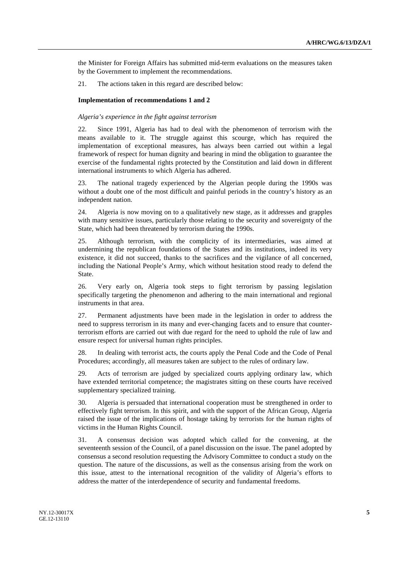the Minister for Foreign Affairs has submitted mid-term evaluations on the measures taken by the Government to implement the recommendations.

21. The actions taken in this regard are described below:

#### **Implementation of recommendations 1 and 2**

#### *Algeria's experience in the fight against terrorism*

22. Since 1991, Algeria has had to deal with the phenomenon of terrorism with the means available to it. The struggle against this scourge, which has required the implementation of exceptional measures, has always been carried out within a legal framework of respect for human dignity and bearing in mind the obligation to guarantee the exercise of the fundamental rights protected by the Constitution and laid down in different international instruments to which Algeria has adhered.

23. The national tragedy experienced by the Algerian people during the 1990s was without a doubt one of the most difficult and painful periods in the country's history as an independent nation.

24. Algeria is now moving on to a qualitatively new stage, as it addresses and grapples with many sensitive issues, particularly those relating to the security and sovereignty of the State, which had been threatened by terrorism during the 1990s.

25. Although terrorism, with the complicity of its intermediaries, was aimed at undermining the republican foundations of the States and its institutions, indeed its very existence, it did not succeed, thanks to the sacrifices and the vigilance of all concerned, including the National People's Army, which without hesitation stood ready to defend the State.

26. Very early on, Algeria took steps to fight terrorism by passing legislation specifically targeting the phenomenon and adhering to the main international and regional instruments in that area.

27. Permanent adjustments have been made in the legislation in order to address the need to suppress terrorism in its many and ever-changing facets and to ensure that counterterrorism efforts are carried out with due regard for the need to uphold the rule of law and ensure respect for universal human rights principles.

28. In dealing with terrorist acts, the courts apply the Penal Code and the Code of Penal Procedures; accordingly, all measures taken are subject to the rules of ordinary law.

29. Acts of terrorism are judged by specialized courts applying ordinary law, which have extended territorial competence; the magistrates sitting on these courts have received supplementary specialized training.

30. Algeria is persuaded that international cooperation must be strengthened in order to effectively fight terrorism. In this spirit, and with the support of the African Group, Algeria raised the issue of the implications of hostage taking by terrorists for the human rights of victims in the Human Rights Council.

31. A consensus decision was adopted which called for the convening, at the seventeenth session of the Council, of a panel discussion on the issue. The panel adopted by consensus a second resolution requesting the Advisory Committee to conduct a study on the question. The nature of the discussions, as well as the consensus arising from the work on this issue, attest to the international recognition of the validity of Algeria's efforts to address the matter of the interdependence of security and fundamental freedoms.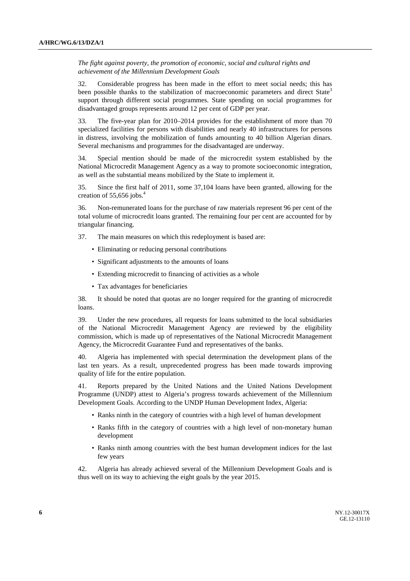*The fight against poverty, the promotion of economic, social and cultural rights and achievement of the Millennium Development Goals* 

32. Considerable progress has been made in the effort to meet social needs; this has been possible thanks to the stabilization of macroeconomic parameters and direct State<sup>3</sup> support through different social programmes. State spending on social programmes for disadvantaged groups represents around 12 per cent of GDP per year.

33. The five-year plan for 2010–2014 provides for the establishment of more than 70 specialized facilities for persons with disabilities and nearly 40 infrastructures for persons in distress, involving the mobilization of funds amounting to 40 billion Algerian dinars. Several mechanisms and programmes for the disadvantaged are underway.

34. Special mention should be made of the microcredit system established by the National Microcredit Management Agency as a way to promote socioeconomic integration, as well as the substantial means mobilized by the State to implement it.

35. Since the first half of 2011, some 37,104 loans have been granted, allowing for the creation of 55,656 jobs. $4$ 

36. Non-remunerated loans for the purchase of raw materials represent 96 per cent of the total volume of microcredit loans granted. The remaining four per cent are accounted for by triangular financing.

37. The main measures on which this redeployment is based are:

- Eliminating or reducing personal contributions
- Significant adjustments to the amounts of loans
- Extending microcredit to financing of activities as a whole
- Tax advantages for beneficiaries

38. It should be noted that quotas are no longer required for the granting of microcredit loans.

39. Under the new procedures, all requests for loans submitted to the local subsidiaries of the National Microcredit Management Agency are reviewed by the eligibility commission, which is made up of representatives of the National Microcredit Management Agency, the Microcredit Guarantee Fund and representatives of the banks.

40. Algeria has implemented with special determination the development plans of the last ten years. As a result, unprecedented progress has been made towards improving quality of life for the entire population.

41. Reports prepared by the United Nations and the United Nations Development Programme (UNDP) attest to Algeria's progress towards achievement of the Millennium Development Goals. According to the UNDP Human Development Index, Algeria:

- Ranks ninth in the category of countries with a high level of human development
- Ranks fifth in the category of countries with a high level of non-monetary human development
- Ranks ninth among countries with the best human development indices for the last few years

42. Algeria has already achieved several of the Millennium Development Goals and is thus well on its way to achieving the eight goals by the year 2015.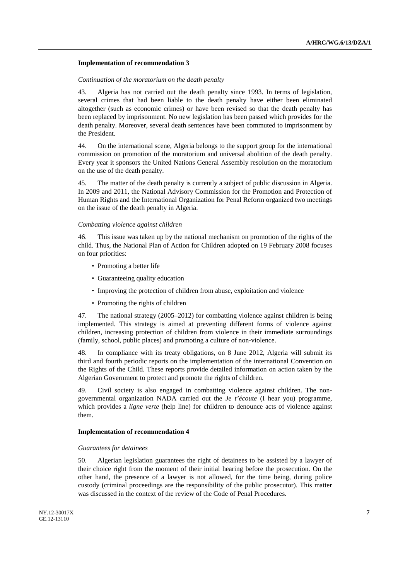#### **Implementation of recommendation 3**

#### *Continuation of the moratorium on the death penalty*

43. Algeria has not carried out the death penalty since 1993. In terms of legislation, several crimes that had been liable to the death penalty have either been eliminated altogether (such as economic crimes) or have been revised so that the death penalty has been replaced by imprisonment. No new legislation has been passed which provides for the death penalty. Moreover, several death sentences have been commuted to imprisonment by the President.

44. On the international scene, Algeria belongs to the support group for the international commission on promotion of the moratorium and universal abolition of the death penalty. Every year it sponsors the United Nations General Assembly resolution on the moratorium on the use of the death penalty.

45. The matter of the death penalty is currently a subject of public discussion in Algeria. In 2009 and 2011, the National Advisory Commission for the Promotion and Protection of Human Rights and the International Organization for Penal Reform organized two meetings on the issue of the death penalty in Algeria.

#### *Combatting violence against children*

46. This issue was taken up by the national mechanism on promotion of the rights of the child. Thus, the National Plan of Action for Children adopted on 19 February 2008 focuses on four priorities:

- Promoting a better life
- Guaranteeing quality education
- Improving the protection of children from abuse, exploitation and violence
- Promoting the rights of children

47. The national strategy (2005–2012) for combatting violence against children is being implemented. This strategy is aimed at preventing different forms of violence against children, increasing protection of children from violence in their immediate surroundings (family, school, public places) and promoting a culture of non-violence.

48. In compliance with its treaty obligations, on 8 June 2012, Algeria will submit its third and fourth periodic reports on the implementation of the international Convention on the Rights of the Child. These reports provide detailed information on action taken by the Algerian Government to protect and promote the rights of children.

49. Civil society is also engaged in combatting violence against children. The nongovernmental organization NADA carried out the *Je t'écoute* (I hear you) programme, which provides a *ligne verte* (help line) for children to denounce acts of violence against them.

#### **Implementation of recommendation 4**

#### *Guarantees for detainees*

50. Algerian legislation guarantees the right of detainees to be assisted by a lawyer of their choice right from the moment of their initial hearing before the prosecution. On the other hand, the presence of a lawyer is not allowed, for the time being, during police custody (criminal proceedings are the responsibility of the public prosecutor). This matter was discussed in the context of the review of the Code of Penal Procedures.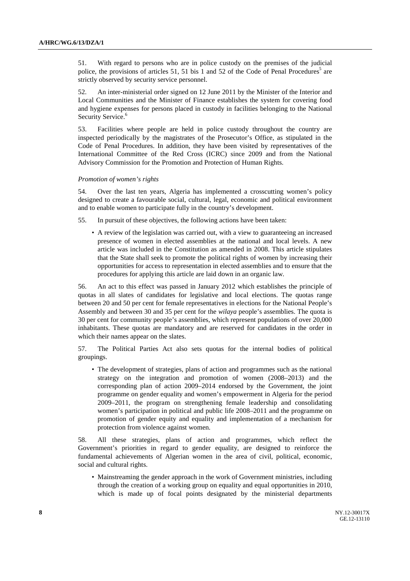51. With regard to persons who are in police custody on the premises of the judicial police, the provisions of articles 51, 51 bis 1 and 52 of the Code of Penal Procedures<sup>5</sup> are strictly observed by security service personnel.

52. An inter-ministerial order signed on 12 June 2011 by the Minister of the Interior and Local Communities and the Minister of Finance establishes the system for covering food and hygiene expenses for persons placed in custody in facilities belonging to the National Security Service.<sup>6</sup>

53. Facilities where people are held in police custody throughout the country are inspected periodically by the magistrates of the Prosecutor's Office, as stipulated in the Code of Penal Procedures. In addition, they have been visited by representatives of the International Committee of the Red Cross (ICRC) since 2009 and from the National Advisory Commission for the Promotion and Protection of Human Rights.

#### *Promotion of women's rights*

54. Over the last ten years, Algeria has implemented a crosscutting women's policy designed to create a favourable social, cultural, legal, economic and political environment and to enable women to participate fully in the country's development.

55. In pursuit of these objectives, the following actions have been taken:

• A review of the legislation was carried out, with a view to guaranteeing an increased presence of women in elected assemblies at the national and local levels. A new article was included in the Constitution as amended in 2008. This article stipulates that the State shall seek to promote the political rights of women by increasing their opportunities for access to representation in elected assemblies and to ensure that the procedures for applying this article are laid down in an organic law.

56. An act to this effect was passed in January 2012 which establishes the principle of quotas in all slates of candidates for legislative and local elections. The quotas range between 20 and 50 per cent for female representatives in elections for the National People's Assembly and between 30 and 35 per cent for the *wilaya* people's assemblies. The quota is 30 per cent for community people's assemblies, which represent populations of over 20,000 inhabitants. These quotas are mandatory and are reserved for candidates in the order in which their names appear on the slates.

57. The Political Parties Act also sets quotas for the internal bodies of political groupings.

• The development of strategies, plans of action and programmes such as the national strategy on the integration and promotion of women (2008–2013) and the corresponding plan of action 2009–2014 endorsed by the Government, the joint programme on gender equality and women's empowerment in Algeria for the period 2009–2011, the program on strengthening female leadership and consolidating women's participation in political and public life 2008–2011 and the programme on promotion of gender equity and equality and implementation of a mechanism for protection from violence against women.

58. All these strategies, plans of action and programmes, which reflect the Government's priorities in regard to gender equality, are designed to reinforce the fundamental achievements of Algerian women in the area of civil, political, economic, social and cultural rights.

• Mainstreaming the gender approach in the work of Government ministries, including through the creation of a working group on equality and equal opportunities in 2010, which is made up of focal points designated by the ministerial departments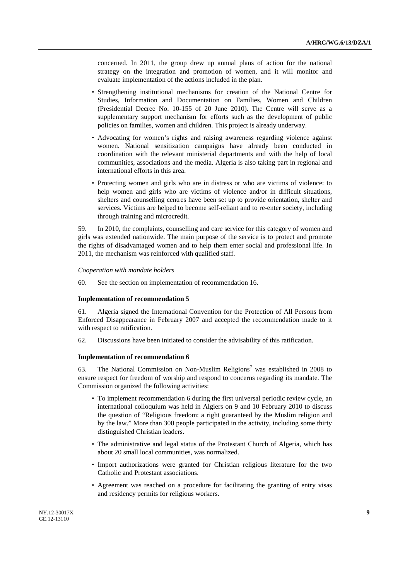concerned. In 2011, the group drew up annual plans of action for the national strategy on the integration and promotion of women, and it will monitor and evaluate implementation of the actions included in the plan.

- Strengthening institutional mechanisms for creation of the National Centre for Studies, Information and Documentation on Families, Women and Children (Presidential Decree No. 10-155 of 20 June 2010). The Centre will serve as a supplementary support mechanism for efforts such as the development of public policies on families, women and children. This project is already underway.
- Advocating for women's rights and raising awareness regarding violence against women. National sensitization campaigns have already been conducted in coordination with the relevant ministerial departments and with the help of local communities, associations and the media. Algeria is also taking part in regional and international efforts in this area.
- Protecting women and girls who are in distress or who are victims of violence: to help women and girls who are victims of violence and/or in difficult situations, shelters and counselling centres have been set up to provide orientation, shelter and services. Victims are helped to become self-reliant and to re-enter society, including through training and microcredit.

59. In 2010, the complaints, counselling and care service for this category of women and girls was extended nationwide. The main purpose of the service is to protect and promote the rights of disadvantaged women and to help them enter social and professional life. In 2011, the mechanism was reinforced with qualified staff.

#### *Cooperation with mandate holders*

60. See the section on implementation of recommendation 16.

#### **Implementation of recommendation 5**

61. Algeria signed the International Convention for the Protection of All Persons from Enforced Disappearance in February 2007 and accepted the recommendation made to it with respect to ratification.

62. Discussions have been initiated to consider the advisability of this ratification.

#### **Implementation of recommendation 6**

63. The National Commission on Non-Muslim Religions<sup>7</sup> was established in 2008 to ensure respect for freedom of worship and respond to concerns regarding its mandate. The Commission organized the following activities:

- To implement recommendation 6 during the first universal periodic review cycle, an international colloquium was held in Algiers on 9 and 10 February 2010 to discuss the question of "Religious freedom: a right guaranteed by the Muslim religion and by the law." More than 300 people participated in the activity, including some thirty distinguished Christian leaders.
- The administrative and legal status of the Protestant Church of Algeria, which has about 20 small local communities, was normalized.
- Import authorizations were granted for Christian religious literature for the two Catholic and Protestant associations.
- Agreement was reached on a procedure for facilitating the granting of entry visas and residency permits for religious workers.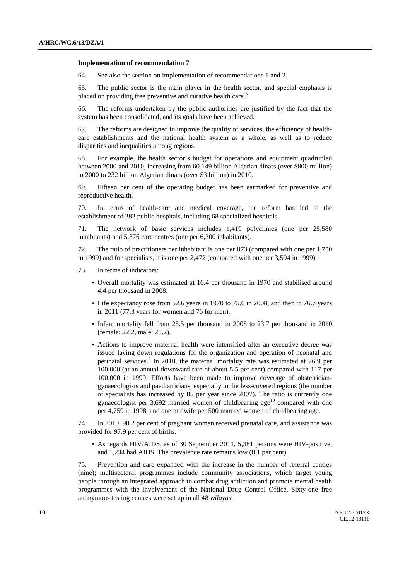#### **Implementation of recommendation 7**

64. See also the section on implementation of recommendations 1 and 2.

65. The public sector is the main player in the health sector, and special emphasis is placed on providing free preventive and curative health care.<sup>8</sup>

66. The reforms undertaken by the public authorities are justified by the fact that the system has been consolidated, and its goals have been achieved.

67. The reforms are designed to improve the quality of services, the efficiency of healthcare establishments and the national health system as a whole, as well as to reduce disparities and inequalities among regions.

68. For example, the health sector's budget for operations and equipment quadrupled between 2000 and 2010, increasing from 60.149 billion Algerian dinars (over \$800 million) in 2000 to 232 billion Algerian dinars (over \$3 billion) in 2010.

69. Fifteen per cent of the operating budget has been earmarked for preventive and reproductive health.

70. In terms of health-care and medical coverage, the reform has led to the establishment of 282 public hospitals, including 68 specialized hospitals.

71. The network of basic services includes 1,419 polyclinics (one per 25,580 inhabitants) and 5,376 care centres (one per 6,300 inhabitants).

72. The ratio of practitioners per inhabitant is one per 873 (compared with one per 1,750 in 1999) and for specialists, it is one per 2,472 (compared with one per 3,594 in 1999).

- 73. In terms of indicators:
	- Overall mortality was estimated at 16.4 per thousand in 1970 and stabilised around 4.4 per thousand in 2008.
	- Life expectancy rose from 52.6 years in 1970 to 75.6 in 2008, and then to 76.7 years in 2011 (77.3 years for women and 76 for men).
	- Infant mortality fell from 25.5 per thousand in 2008 to 23.7 per thousand in 2010 (female: 22.2, male: 25.2).
	- Actions to improve maternal health were intensified after an executive decree was issued laying down regulations for the organization and operation of neonatal and perinatal services.<sup>9</sup> In 2010, the maternal mortality rate was estimated at 76.9 per 100,000 (at an annual downward rate of about 5.5 per cent) compared with 117 per 100,000 in 1999. Efforts have been made to improve coverage of obstetriciangynaecologists and paediatricians, especially in the less-covered regions (the number of specialists has increased by 85 per year since 2007). The ratio is currently one gynaecologist per 3,692 married women of childbearing age<sup>10</sup> compared with one per 4,759 in 1998, and one midwife per 500 married women of childbearing age.

74. In 2010, 90.2 per cent of pregnant women received prenatal care, and assistance was provided for 97.9 per cent of births.

• As regards HIV/AIDS, as of 30 September 2011, 5,381 persons were HIV-positive, and 1,234 had AIDS. The prevalence rate remains low (0.1 per cent).

75. Prevention and care expanded with the increase in the number of referral centres (nine); multisectoral programmes include community associations, which target young people through an integrated approach to combat drug addiction and promote mental health programmes with the involvement of the National Drug Control Office. Sixty-one free anonymous testing centres were set up in all 48 *wilayas*.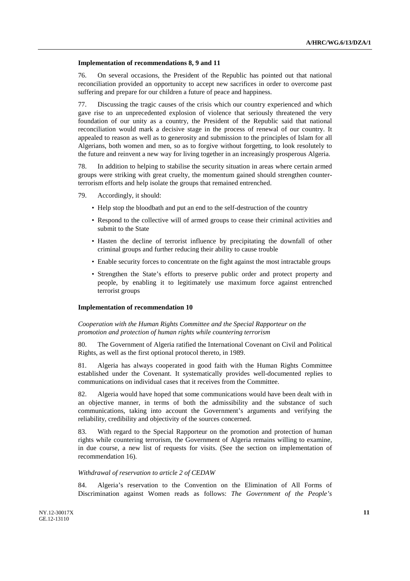#### **Implementation of recommendations 8, 9 and 11**

76. On several occasions, the President of the Republic has pointed out that national reconciliation provided an opportunity to accept new sacrifices in order to overcome past suffering and prepare for our children a future of peace and happiness.

77. Discussing the tragic causes of the crisis which our country experienced and which gave rise to an unprecedented explosion of violence that seriously threatened the very foundation of our unity as a country, the President of the Republic said that national reconciliation would mark a decisive stage in the process of renewal of our country. It appealed to reason as well as to generosity and submission to the principles of Islam for all Algerians, both women and men, so as to forgive without forgetting, to look resolutely to the future and reinvent a new way for living together in an increasingly prosperous Algeria.

78. In addition to helping to stabilise the security situation in areas where certain armed groups were striking with great cruelty, the momentum gained should strengthen counterterrorism efforts and help isolate the groups that remained entrenched.

79. Accordingly, it should:

- Help stop the bloodbath and put an end to the self-destruction of the country
- Respond to the collective will of armed groups to cease their criminal activities and submit to the State
- Hasten the decline of terrorist influence by precipitating the downfall of other criminal groups and further reducing their ability to cause trouble
- Enable security forces to concentrate on the fight against the most intractable groups
- Strengthen the State's efforts to preserve public order and protect property and people, by enabling it to legitimately use maximum force against entrenched terrorist groups

#### **Implementation of recommendation 10**

### *Cooperation with the Human Rights Committee and the Special Rapporteur on the promotion and protection of human rights while countering terrorism*

80. The Government of Algeria ratified the International Covenant on Civil and Political Rights, as well as the first optional protocol thereto, in 1989.

81. Algeria has always cooperated in good faith with the Human Rights Committee established under the Covenant. It systematically provides well-documented replies to communications on individual cases that it receives from the Committee.

82. Algeria would have hoped that some communications would have been dealt with in an objective manner, in terms of both the admissibility and the substance of such communications, taking into account the Government's arguments and verifying the reliability, credibility and objectivity of the sources concerned.

83. With regard to the Special Rapporteur on the promotion and protection of human rights while countering terrorism, the Government of Algeria remains willing to examine, in due course, a new list of requests for visits. (See the section on implementation of recommendation 16).

#### *Withdrawal of reservation to article 2 of CEDAW*

84. Algeria's reservation to the Convention on the Elimination of All Forms of Discrimination against Women reads as follows: *The Government of the People's*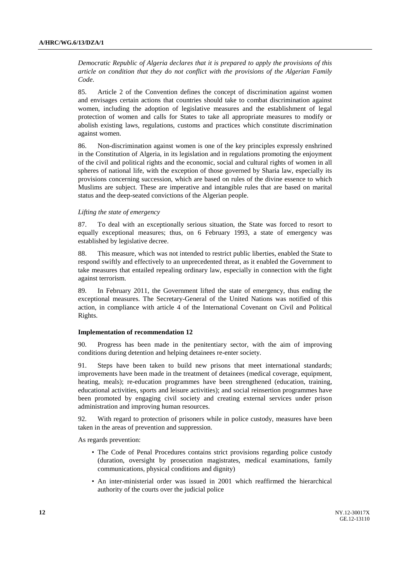*Democratic Republic of Algeria declares that it is prepared to apply the provisions of this article on condition that they do not conflict with the provisions of the Algerian Family Code*.

85. Article 2 of the Convention defines the concept of discrimination against women and envisages certain actions that countries should take to combat discrimination against women, including the adoption of legislative measures and the establishment of legal protection of women and calls for States to take all appropriate measures to modify or abolish existing laws, regulations, customs and practices which constitute discrimination against women.

86. Non-discrimination against women is one of the key principles expressly enshrined in the Constitution of Algeria, in its legislation and in regulations promoting the enjoyment of the civil and political rights and the economic, social and cultural rights of women in all spheres of national life, with the exception of those governed by Sharia law, especially its provisions concerning succession, which are based on rules of the divine essence to which Muslims are subject. These are imperative and intangible rules that are based on marital status and the deep-seated convictions of the Algerian people.

#### *Lifting the state of emergency*

87. To deal with an exceptionally serious situation, the State was forced to resort to equally exceptional measures; thus, on 6 February 1993, a state of emergency was established by legislative decree.

88. This measure, which was not intended to restrict public liberties, enabled the State to respond swiftly and effectively to an unprecedented threat, as it enabled the Government to take measures that entailed repealing ordinary law, especially in connection with the fight against terrorism.

89. In February 2011, the Government lifted the state of emergency, thus ending the exceptional measures. The Secretary-General of the United Nations was notified of this action, in compliance with article 4 of the International Covenant on Civil and Political Rights.

#### **Implementation of recommendation 12**

90. Progress has been made in the penitentiary sector, with the aim of improving conditions during detention and helping detainees re-enter society.

91. Steps have been taken to build new prisons that meet international standards; improvements have been made in the treatment of detainees (medical coverage, equipment, heating, meals); re-education programmes have been strengthened (education, training, educational activities, sports and leisure activities); and social reinsertion programmes have been promoted by engaging civil society and creating external services under prison administration and improving human resources.

92. With regard to protection of prisoners while in police custody, measures have been taken in the areas of prevention and suppression.

As regards prevention:

- The Code of Penal Procedures contains strict provisions regarding police custody (duration, oversight by prosecution magistrates, medical examinations, family communications, physical conditions and dignity)
- An inter-ministerial order was issued in 2001 which reaffirmed the hierarchical authority of the courts over the judicial police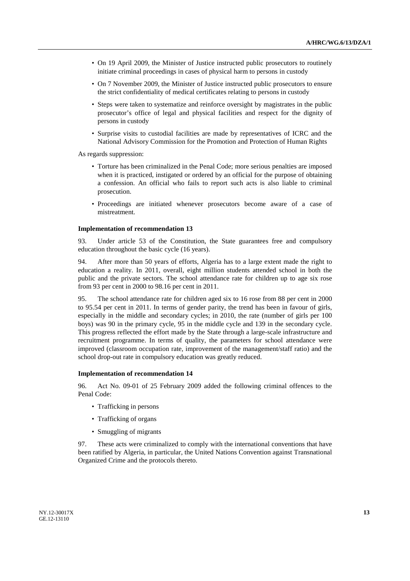- On 19 April 2009, the Minister of Justice instructed public prosecutors to routinely initiate criminal proceedings in cases of physical harm to persons in custody
- On 7 November 2009, the Minister of Justice instructed public prosecutors to ensure the strict confidentiality of medical certificates relating to persons in custody
- Steps were taken to systematize and reinforce oversight by magistrates in the public prosecutor's office of legal and physical facilities and respect for the dignity of persons in custody
- Surprise visits to custodial facilities are made by representatives of ICRC and the National Advisory Commission for the Promotion and Protection of Human Rights

As regards suppression:

- Torture has been criminalized in the Penal Code; more serious penalties are imposed when it is practiced, instigated or ordered by an official for the purpose of obtaining a confession. An official who fails to report such acts is also liable to criminal prosecution.
- Proceedings are initiated whenever prosecutors become aware of a case of mistreatment.

#### **Implementation of recommendation 13**

93. Under article 53 of the Constitution, the State guarantees free and compulsory education throughout the basic cycle (16 years).

94. After more than 50 years of efforts, Algeria has to a large extent made the right to education a reality. In 2011, overall, eight million students attended school in both the public and the private sectors. The school attendance rate for children up to age six rose from 93 per cent in 2000 to 98.16 per cent in 2011.

95. The school attendance rate for children aged six to 16 rose from 88 per cent in 2000 to 95.54 per cent in 2011. In terms of gender parity, the trend has been in favour of girls, especially in the middle and secondary cycles; in 2010, the rate (number of girls per 100 boys) was 90 in the primary cycle, 95 in the middle cycle and 139 in the secondary cycle. This progress reflected the effort made by the State through a large-scale infrastructure and recruitment programme. In terms of quality, the parameters for school attendance were improved (classroom occupation rate, improvement of the management/staff ratio) and the school drop-out rate in compulsory education was greatly reduced.

#### **Implementation of recommendation 14**

96. Act No. 09-01 of 25 February 2009 added the following criminal offences to the Penal Code:

- Trafficking in persons
- Trafficking of organs
- Smuggling of migrants

97. These acts were criminalized to comply with the international conventions that have been ratified by Algeria, in particular, the United Nations Convention against Transnational Organized Crime and the protocols thereto.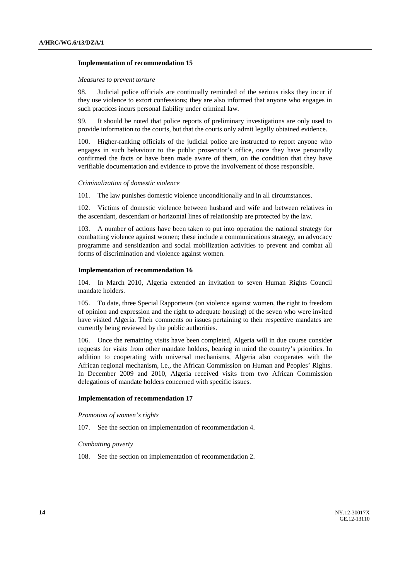#### **Implementation of recommendation 15**

#### *Measures to prevent torture*

98. Judicial police officials are continually reminded of the serious risks they incur if they use violence to extort confessions; they are also informed that anyone who engages in such practices incurs personal liability under criminal law.

99. It should be noted that police reports of preliminary investigations are only used to provide information to the courts, but that the courts only admit legally obtained evidence.

100. Higher-ranking officials of the judicial police are instructed to report anyone who engages in such behaviour to the public prosecutor's office, once they have personally confirmed the facts or have been made aware of them, on the condition that they have verifiable documentation and evidence to prove the involvement of those responsible.

#### *Criminalization of domestic violence*

101. The law punishes domestic violence unconditionally and in all circumstances.

102. Victims of domestic violence between husband and wife and between relatives in the ascendant, descendant or horizontal lines of relationship are protected by the law.

103. A number of actions have been taken to put into operation the national strategy for combatting violence against women; these include a communications strategy, an advocacy programme and sensitization and social mobilization activities to prevent and combat all forms of discrimination and violence against women.

#### **Implementation of recommendation 16**

104. In March 2010, Algeria extended an invitation to seven Human Rights Council mandate holders.

105. To date, three Special Rapporteurs (on violence against women, the right to freedom of opinion and expression and the right to adequate housing) of the seven who were invited have visited Algeria. Their comments on issues pertaining to their respective mandates are currently being reviewed by the public authorities.

106. Once the remaining visits have been completed, Algeria will in due course consider requests for visits from other mandate holders, bearing in mind the country's priorities. In addition to cooperating with universal mechanisms, Algeria also cooperates with the African regional mechanism, i.e., the African Commission on Human and Peoples' Rights. In December 2009 and 2010, Algeria received visits from two African Commission delegations of mandate holders concerned with specific issues.

#### **Implementation of recommendation 17**

 *Promotion of women's rights* 

107. See the section on implementation of recommendation 4.

### *Combatting poverty*

108. See the section on implementation of recommendation 2.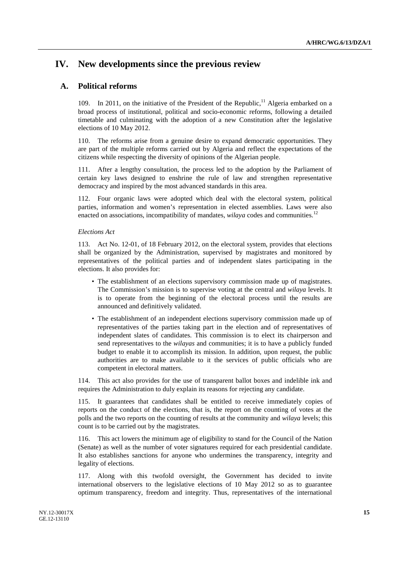## **IV. New developments since the previous review**

## **A. Political reforms**

109. In 2011, on the initiative of the President of the Republic,  $\frac{11}{11}$  Algeria embarked on a broad process of institutional, political and socio-economic reforms, following a detailed timetable and culminating with the adoption of a new Constitution after the legislative elections of 10 May 2012.

110. The reforms arise from a genuine desire to expand democratic opportunities. They are part of the multiple reforms carried out by Algeria and reflect the expectations of the citizens while respecting the diversity of opinions of the Algerian people.

111. After a lengthy consultation, the process led to the adoption by the Parliament of certain key laws designed to enshrine the rule of law and strengthen representative democracy and inspired by the most advanced standards in this area.

112. Four organic laws were adopted which deal with the electoral system, political parties, information and women's representation in elected assemblies. Laws were also enacted on associations, incompatibility of mandates, *wilaya* codes and communities.<sup>12</sup>

### *Elections Act*

113. Act No. 12-01, of 18 February 2012, on the electoral system, provides that elections shall be organized by the Administration, supervised by magistrates and monitored by representatives of the political parties and of independent slates participating in the elections. It also provides for:

- The establishment of an elections supervisory commission made up of magistrates. The Commission's mission is to supervise voting at the central and *wilaya* levels. It is to operate from the beginning of the electoral process until the results are announced and definitively validated.
- The establishment of an independent elections supervisory commission made up of representatives of the parties taking part in the election and of representatives of independent slates of candidates. This commission is to elect its chairperson and send representatives to the *wilayas* and communities; it is to have a publicly funded budget to enable it to accomplish its mission. In addition, upon request, the public authorities are to make available to it the services of public officials who are competent in electoral matters.

114. This act also provides for the use of transparent ballot boxes and indelible ink and requires the Administration to duly explain its reasons for rejecting any candidate.

115. It guarantees that candidates shall be entitled to receive immediately copies of reports on the conduct of the elections, that is, the report on the counting of votes at the polls and the two reports on the counting of results at the community and *wilaya* levels; this count is to be carried out by the magistrates.

116. This act lowers the minimum age of eligibility to stand for the Council of the Nation (Senate) as well as the number of voter signatures required for each presidential candidate. It also establishes sanctions for anyone who undermines the transparency, integrity and legality of elections.

117. Along with this twofold oversight, the Government has decided to invite international observers to the legislative elections of 10 May 2012 so as to guarantee optimum transparency, freedom and integrity. Thus, representatives of the international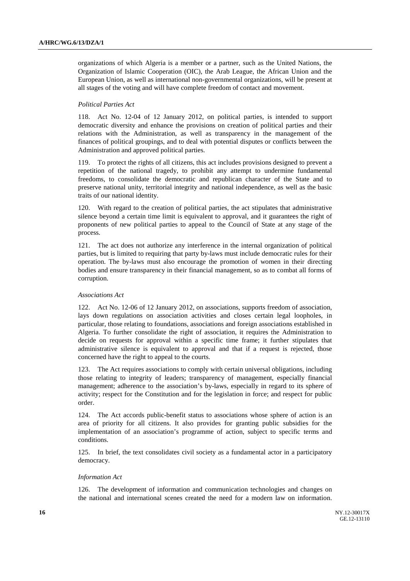organizations of which Algeria is a member or a partner, such as the United Nations, the Organization of Islamic Cooperation (OIC), the Arab League, the African Union and the European Union, as well as international non-governmental organizations, will be present at all stages of the voting and will have complete freedom of contact and movement.

#### *Political Parties Act*

118. Act No. 12-04 of 12 January 2012, on political parties, is intended to support democratic diversity and enhance the provisions on creation of political parties and their relations with the Administration, as well as transparency in the management of the finances of political groupings, and to deal with potential disputes or conflicts between the Administration and approved political parties.

119. To protect the rights of all citizens, this act includes provisions designed to prevent a repetition of the national tragedy, to prohibit any attempt to undermine fundamental freedoms, to consolidate the democratic and republican character of the State and to preserve national unity, territorial integrity and national independence, as well as the basic traits of our national identity.

120. With regard to the creation of political parties, the act stipulates that administrative silence beyond a certain time limit is equivalent to approval, and it guarantees the right of proponents of new political parties to appeal to the Council of State at any stage of the process.

121. The act does not authorize any interference in the internal organization of political parties, but is limited to requiring that party by-laws must include democratic rules for their operation. The by-laws must also encourage the promotion of women in their directing bodies and ensure transparency in their financial management, so as to combat all forms of corruption.

#### *Associations Act*

122. Act No. 12-06 of 12 January 2012, on associations, supports freedom of association, lays down regulations on association activities and closes certain legal loopholes, in particular, those relating to foundations, associations and foreign associations established in Algeria. To further consolidate the right of association, it requires the Administration to decide on requests for approval within a specific time frame; it further stipulates that administrative silence is equivalent to approval and that if a request is rejected, those concerned have the right to appeal to the courts.

123. The Act requires associations to comply with certain universal obligations, including those relating to integrity of leaders; transparency of management, especially financial management; adherence to the association's by-laws, especially in regard to its sphere of activity; respect for the Constitution and for the legislation in force; and respect for public order.

124. The Act accords public-benefit status to associations whose sphere of action is an area of priority for all citizens. It also provides for granting public subsidies for the implementation of an association's programme of action, subject to specific terms and conditions.

125. In brief, the text consolidates civil society as a fundamental actor in a participatory democracy.

#### *Information Act*

126. The development of information and communication technologies and changes on the national and international scenes created the need for a modern law on information.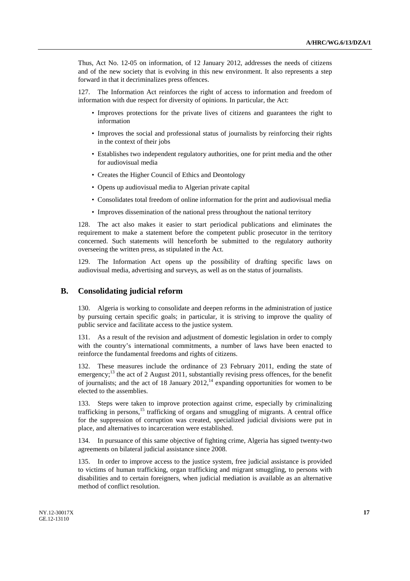Thus, Act No. 12-05 on information, of 12 January 2012, addresses the needs of citizens and of the new society that is evolving in this new environment. It also represents a step forward in that it decriminalizes press offences.

127. The Information Act reinforces the right of access to information and freedom of information with due respect for diversity of opinions. In particular, the Act:

- Improves protections for the private lives of citizens and guarantees the right to information
- Improves the social and professional status of journalists by reinforcing their rights in the context of their jobs
- Establishes two independent regulatory authorities, one for print media and the other for audiovisual media
- Creates the Higher Council of Ethics and Deontology
- Opens up audiovisual media to Algerian private capital
- Consolidates total freedom of online information for the print and audiovisual media
- Improves dissemination of the national press throughout the national territory

128. The act also makes it easier to start periodical publications and eliminates the requirement to make a statement before the competent public prosecutor in the territory concerned. Such statements will henceforth be submitted to the regulatory authority overseeing the written press, as stipulated in the Act.

129. The Information Act opens up the possibility of drafting specific laws on audiovisual media, advertising and surveys, as well as on the status of journalists.

### **B. Consolidating judicial reform**

130. Algeria is working to consolidate and deepen reforms in the administration of justice by pursuing certain specific goals; in particular, it is striving to improve the quality of public service and facilitate access to the justice system.

131. As a result of the revision and adjustment of domestic legislation in order to comply with the country's international commitments, a number of laws have been enacted to reinforce the fundamental freedoms and rights of citizens.

These measures include the ordinance of 23 February 2011, ending the state of emergency;<sup>13</sup> the act of 2 August 2011, substantially revising press offences, for the benefit of journalists; and the act of 18 January  $2012<sup>14</sup>$  expanding opportunities for women to be elected to the assemblies.

133. Steps were taken to improve protection against crime, especially by criminalizing trafficking in persons,<sup>15</sup> trafficking of organs and smuggling of migrants. A central office for the suppression of corruption was created, specialized judicial divisions were put in place, and alternatives to incarceration were established.

134. In pursuance of this same objective of fighting crime, Algeria has signed twenty-two agreements on bilateral judicial assistance since 2008.

135. In order to improve access to the justice system, free judicial assistance is provided to victims of human trafficking, organ trafficking and migrant smuggling, to persons with disabilities and to certain foreigners, when judicial mediation is available as an alternative method of conflict resolution.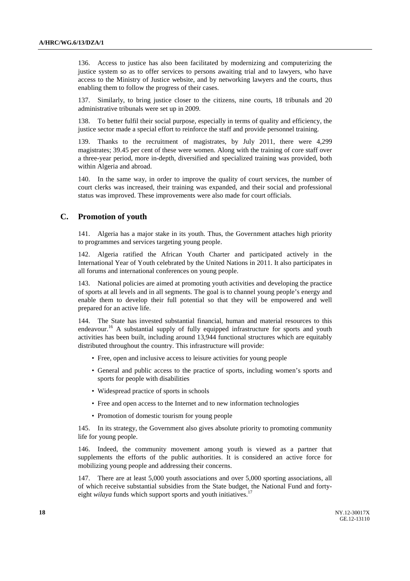136. Access to justice has also been facilitated by modernizing and computerizing the justice system so as to offer services to persons awaiting trial and to lawyers, who have access to the Ministry of Justice website, and by networking lawyers and the courts, thus enabling them to follow the progress of their cases.

137. Similarly, to bring justice closer to the citizens, nine courts, 18 tribunals and 20 administrative tribunals were set up in 2009.

138. To better fulfil their social purpose, especially in terms of quality and efficiency, the justice sector made a special effort to reinforce the staff and provide personnel training.

139. Thanks to the recruitment of magistrates, by July 2011, there were 4,299 magistrates; 39.45 per cent of these were women. Along with the training of core staff over a three-year period, more in-depth, diversified and specialized training was provided, both within Algeria and abroad.

140. In the same way, in order to improve the quality of court services, the number of court clerks was increased, their training was expanded, and their social and professional status was improved. These improvements were also made for court officials.

## **C. Promotion of youth**

141. Algeria has a major stake in its youth. Thus, the Government attaches high priority to programmes and services targeting young people.

142. Algeria ratified the African Youth Charter and participated actively in the International Year of Youth celebrated by the United Nations in 2011. It also participates in all forums and international conferences on young people.

143. National policies are aimed at promoting youth activities and developing the practice of sports at all levels and in all segments. The goal is to channel young people's energy and enable them to develop their full potential so that they will be empowered and well prepared for an active life.

144. The State has invested substantial financial, human and material resources to this endeavour.<sup>16</sup> A substantial supply of fully equipped infrastructure for sports and youth activities has been built, including around 13,944 functional structures which are equitably distributed throughout the country. This infrastructure will provide:

- Free, open and inclusive access to leisure activities for young people
- General and public access to the practice of sports, including women's sports and sports for people with disabilities
- Widespread practice of sports in schools
- Free and open access to the Internet and to new information technologies
- Promotion of domestic tourism for young people

145. In its strategy, the Government also gives absolute priority to promoting community life for young people.

146. Indeed, the community movement among youth is viewed as a partner that supplements the efforts of the public authorities. It is considered an active force for mobilizing young people and addressing their concerns.

147. There are at least 5,000 youth associations and over 5,000 sporting associations, all of which receive substantial subsidies from the State budget, the National Fund and fortyeight *wilaya* funds which support sports and youth initiatives.<sup>17</sup>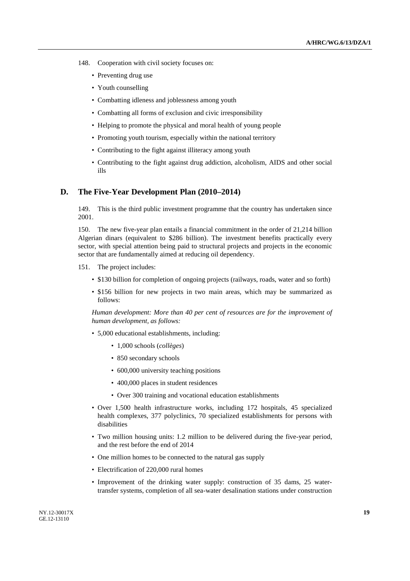- 148. Cooperation with civil society focuses on:
	- Preventing drug use
	- Youth counselling
	- Combatting idleness and joblessness among youth
	- Combatting all forms of exclusion and civic irresponsibility
	- Helping to promote the physical and moral health of young people
	- Promoting youth tourism, especially within the national territory
	- Contributing to the fight against illiteracy among youth
	- Contributing to the fight against drug addiction, alcoholism, AIDS and other social ills

### **D. The Five-Year Development Plan (2010–2014)**

149. This is the third public investment programme that the country has undertaken since 2001.

150. The new five-year plan entails a financial commitment in the order of 21,214 billion Algerian dinars (equivalent to \$286 billion). The investment benefits practically every sector, with special attention being paid to structural projects and projects in the economic sector that are fundamentally aimed at reducing oil dependency.

- 151. The project includes:
	- \$130 billion for completion of ongoing projects (railways, roads, water and so forth)
	- \$156 billion for new projects in two main areas, which may be summarized as follows:

*Human development: More than 40 per cent of resources are for the improvement of human development, as follows:*

- 5,000 educational establishments, including:
	- 1,000 schools (*collèges*)
	- 850 secondary schools
	- 600,000 university teaching positions
	- 400,000 places in student residences
	- Over 300 training and vocational education establishments
- Over 1,500 health infrastructure works, including 172 hospitals, 45 specialized health complexes, 377 polyclinics, 70 specialized establishments for persons with disabilities
- Two million housing units: 1.2 million to be delivered during the five-year period, and the rest before the end of 2014
- One million homes to be connected to the natural gas supply
- Electrification of 220,000 rural homes
- Improvement of the drinking water supply: construction of 35 dams, 25 watertransfer systems, completion of all sea-water desalination stations under construction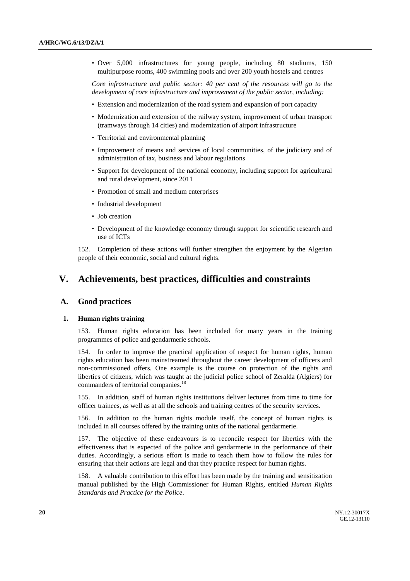• Over 5,000 infrastructures for young people, including 80 stadiums, 150 multipurpose rooms, 400 swimming pools and over 200 youth hostels and centres

*Core infrastructure and public sector: 40 per cent of the resources will go to the development of core infrastructure and improvement of the public sector, including:* 

- Extension and modernization of the road system and expansion of port capacity
- Modernization and extension of the railway system, improvement of urban transport (tramways through 14 cities) and modernization of airport infrastructure
- Territorial and environmental planning
- Improvement of means and services of local communities, of the judiciary and of administration of tax, business and labour regulations
- Support for development of the national economy, including support for agricultural and rural development, since 2011
- Promotion of small and medium enterprises
- Industrial development
- Job creation
- Development of the knowledge economy through support for scientific research and use of ICTs

152. Completion of these actions will further strengthen the enjoyment by the Algerian people of their economic, social and cultural rights.

## **V. Achievements, best practices, difficulties and constraints**

### **A. Good practices**

#### **1. Human rights training**

153. Human rights education has been included for many years in the training programmes of police and gendarmerie schools.

154. In order to improve the practical application of respect for human rights, human rights education has been mainstreamed throughout the career development of officers and non-commissioned offers. One example is the course on protection of the rights and liberties of citizens, which was taught at the judicial police school of Zeralda (Algiers) for commanders of territorial companies.<sup>18</sup>

155. In addition, staff of human rights institutions deliver lectures from time to time for officer trainees, as well as at all the schools and training centres of the security services.

156. In addition to the human rights module itself, the concept of human rights is included in all courses offered by the training units of the national gendarmerie.

157. The objective of these endeavours is to reconcile respect for liberties with the effectiveness that is expected of the police and gendarmerie in the performance of their duties. Accordingly, a serious effort is made to teach them how to follow the rules for ensuring that their actions are legal and that they practice respect for human rights.

158. A valuable contribution to this effort has been made by the training and sensitization manual published by the High Commissioner for Human Rights, entitled *Human Rights Standards and Practice for the Police*.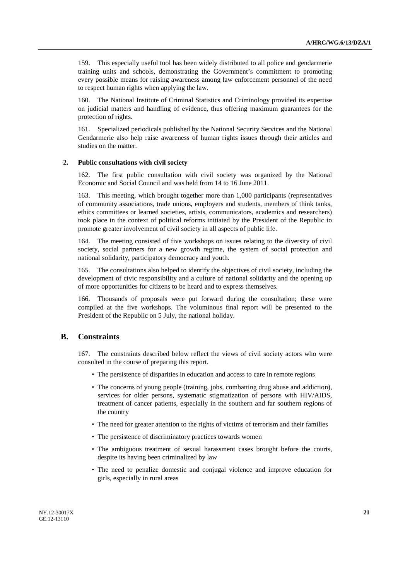159. This especially useful tool has been widely distributed to all police and gendarmerie training units and schools, demonstrating the Government's commitment to promoting every possible means for raising awareness among law enforcement personnel of the need to respect human rights when applying the law.

160. The National Institute of Criminal Statistics and Criminology provided its expertise on judicial matters and handling of evidence, thus offering maximum guarantees for the protection of rights.

161. Specialized periodicals published by the National Security Services and the National Gendarmerie also help raise awareness of human rights issues through their articles and studies on the matter.

#### **2. Public consultations with civil society**

162. The first public consultation with civil society was organized by the National Economic and Social Council and was held from 14 to 16 June 2011.

163. This meeting, which brought together more than 1,000 participants (representatives of community associations, trade unions, employers and students, members of think tanks, ethics committees or learned societies, artists, communicators, academics and researchers) took place in the context of political reforms initiated by the President of the Republic to promote greater involvement of civil society in all aspects of public life.

164. The meeting consisted of five workshops on issues relating to the diversity of civil society, social partners for a new growth regime, the system of social protection and national solidarity, participatory democracy and youth.

165. The consultations also helped to identify the objectives of civil society, including the development of civic responsibility and a culture of national solidarity and the opening up of more opportunities for citizens to be heard and to express themselves.

166. Thousands of proposals were put forward during the consultation; these were compiled at the five workshops. The voluminous final report will be presented to the President of the Republic on 5 July, the national holiday.

## **B. Constraints**

167. The constraints described below reflect the views of civil society actors who were consulted in the course of preparing this report.

- The persistence of disparities in education and access to care in remote regions
- The concerns of young people (training, jobs, combatting drug abuse and addiction), services for older persons, systematic stigmatization of persons with HIV/AIDS, treatment of cancer patients, especially in the southern and far southern regions of the country
- The need for greater attention to the rights of victims of terrorism and their families
- The persistence of discriminatory practices towards women
- The ambiguous treatment of sexual harassment cases brought before the courts, despite its having been criminalized by law
- The need to penalize domestic and conjugal violence and improve education for girls, especially in rural areas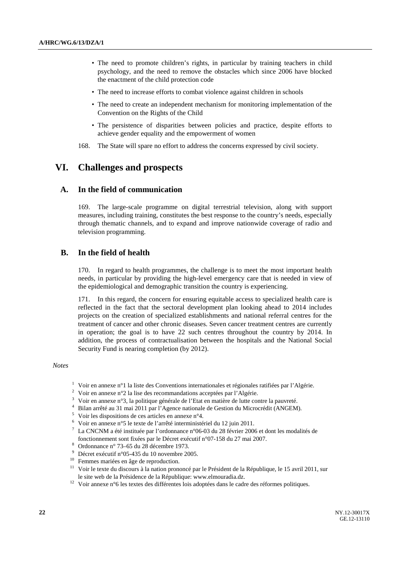- The need to promote children's rights, in particular by training teachers in child psychology, and the need to remove the obstacles which since 2006 have blocked the enactment of the child protection code
- The need to increase efforts to combat violence against children in schools
- The need to create an independent mechanism for monitoring implementation of the Convention on the Rights of the Child
- The persistence of disparities between policies and practice, despite efforts to achieve gender equality and the empowerment of women
- 168. The State will spare no effort to address the concerns expressed by civil society.

## **VI. Challenges and prospects**

## **A. In the field of communication**

169. The large-scale programme on digital terrestrial television, along with support measures, including training, constitutes the best response to the country's needs, especially through thematic channels, and to expand and improve nationwide coverage of radio and television programming.

## **B. In the field of health**

170. In regard to health programmes, the challenge is to meet the most important health needs, in particular by providing the high-level emergency care that is needed in view of the epidemiological and demographic transition the country is experiencing.

171. In this regard, the concern for ensuring equitable access to specialized health care is reflected in the fact that the sectoral development plan looking ahead to 2014 includes projects on the creation of specialized establishments and national referral centres for the treatment of cancer and other chronic diseases. Seven cancer treatment centres are currently in operation; the goal is to have 22 such centres throughout the country by 2014. In addition, the process of contractualisation between the hospitals and the National Social Security Fund is nearing completion (by 2012).

#### *Notes*

- <sup>1</sup> Voir en annexe n°1 la liste des Conventions internationales et régionales ratifiées par l'Algérie.
- <sup>2</sup> Voir en annexe n°2 la lise des recommandations acceptées par l'Algérie.
- $3$  Voir en annexe n°3, la politique générale de l'Etat en matière de lutte contre la pauvreté.
- 4 Bilan arrêté au 31 mai 2011 par l'Agence nationale de Gestion du Microcrédit (ANGEM).
- $5$  Voir les dispositions de ces articles en annexe n°4.
- 6 Voir en annexe n°5 le texte de l'arrêté interministériel du 12 juin 2011.
- <sup>7</sup> La CNCNM a été instituée par l'ordonnance n°06-03 du 28 février 2006 et dont les modalités de fonctionnement sont fixées par le Décret exécutif n°07-158 du 27 mai 2007.<br>Ordonnance n° 73-65 du 28 décembre 1973.
- 
- <sup>8</sup> Ordonnance n° 73–65 du 28 décembre 1973.<br><sup>9</sup> Décret exécutif n°05-435 du 10 novembre 2005.
- <sup>10</sup> Femmes mariées en âge de reproduction.
- <sup>11</sup> Voir le texte du discours à la nation prononcé par le Président de la République, le 15 avril 2011, sur le site web de la Présidence de la République: www.elmouradia.dz. 12 Voir annexe n°6 les textes des différentes lois adoptées dans le cadre des réformes politiques.
-